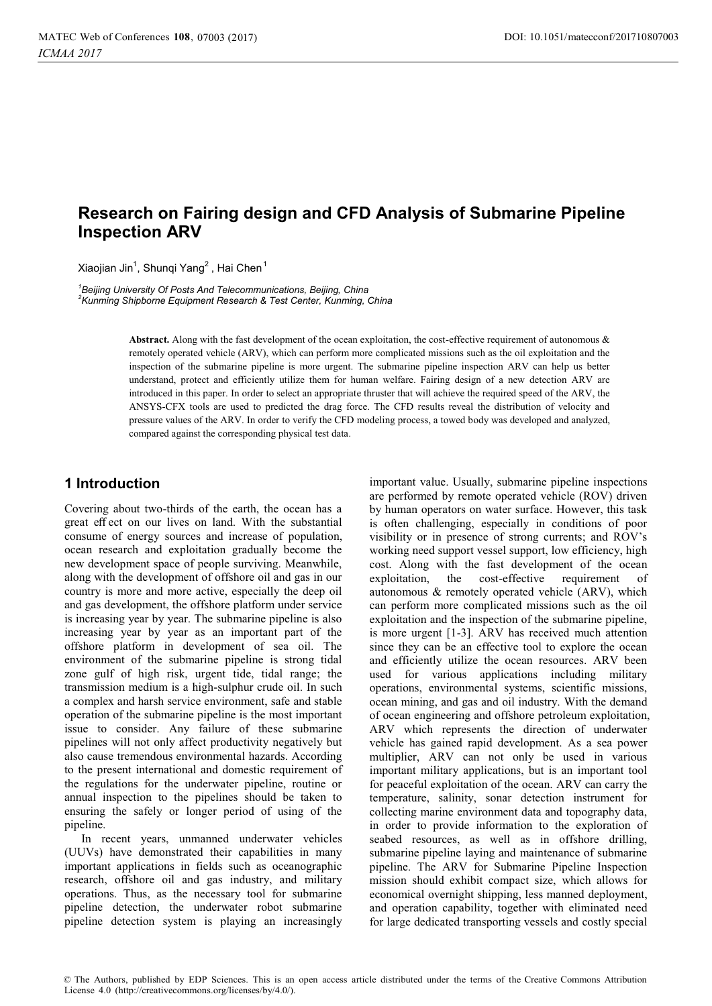# **Research on Fairing design and CFD Analysis of Submarine Pipeline Inspection ARV**

Xiaojian Jin, Shunqi Yang , Hai Chen

<sup>1</sup> Beijing University Of Posts And Telecommunications, Beijing, China<br><sup>2</sup>Kunming Shipborne Equipment Pesserch & Test Center, Kunming, C *Kunming Shipborne Equipment Research & Test Center, Kunming, China* 

> **Abstract.** Along with the fast development of the ocean exploitation, the cost-effective requirement of autonomous & remotely operated vehicle (ARV), which can perform more complicated missions such as the oil exploitation and the inspection of the submarine pipeline is more urgent. The submarine pipeline inspection ARV can help us better understand, protect and efficiently utilize them for human welfare. Fairing design of a new detection ARV are introduced in this paper. In order to select an appropriate thruster that will achieve the required speed of the ARV, the ANSYS-CFX tools are used to predicted the drag force. The CFD results reveal the distribution of velocity and pressure values of the ARV. In order to verify the CFD modeling process, a towed body was developed and analyzed, compared against the corresponding physical test data.

#### **1 Introduction**

Covering about two-thirds of the earth, the ocean has a great eff ect on our lives on land. With the substantial consume of energy sources and increase of population, ocean research and exploitation gradually become the new development space of people surviving. Meanwhile, along with the development of offshore oil and gas in our country is more and more active, especially the deep oil and gas development, the offshore platform under service is increasing year by year. The submarine pipeline is also increasing year by year as an important part of the offshore platform in development of sea oil. The environment of the submarine pipeline is strong tidal zone gulf of high risk, urgent tide, tidal range; the transmission medium is a high-sulphur crude oil. In such a complex and harsh service environment, safe and stable operation of the submarine pipeline is the most important issue to consider. Any failure of these submarine pipelines will not only affect productivity negatively but also cause tremendous environmental hazards. According to the present international and domestic requirement of the regulations for the underwater pipeline, routine or annual inspection to the pipelines should be taken to ensuring the safely or longer period of using of the pipeline.

In recent years, unmanned underwater vehicles (UUVs) have demonstrated their capabilities in many important applications in fields such as oceanographic research, offshore oil and gas industry, and military operations. Thus, as the necessary tool for submarine pipeline detection, the underwater robot submarine pipeline detection system is playing an increasingly

important value. Usually, submarine pipeline inspections are performed by remote operated vehicle (ROV) driven by human operators on water surface. However, this task is often challenging, especially in conditions of poor visibility or in presence of strong currents; and ROV's working need support vessel support, low efficiency, high cost. Along with the fast development of the ocean exploitation, the cost-effective requirement of autonomous & remotely operated vehicle (ARV), which can perform more complicated missions such as the oil exploitation and the inspection of the submarine pipeline, is more urgent [1-3]. ARV has received much attention since they can be an effective tool to explore the ocean and efficiently utilize the ocean resources. ARV been used for various applications including military operations, environmental systems, scientific missions, ocean mining, and gas and oil industry. With the demand of ocean engineering and offshore petroleum exploitation, ARV which represents the direction of underwater vehicle has gained rapid development. As a sea power multiplier, ARV can not only be used in various important military applications, but is an important tool for peaceful exploitation of the ocean. ARV can carry the temperature, salinity, sonar detection instrument for collecting marine environment data and topography data, in order to provide information to the exploration of seabed resources, as well as in offshore drilling, submarine pipeline laying and maintenance of submarine pipeline. The ARV for Submarine Pipeline Inspection mission should exhibit compact size, which allows for economical overnight shipping, less manned deployment, and operation capability, together with eliminated need for large dedicated transporting vessels and costly special

© The Authors, published by EDP Sciences. This is an open access article distributed under the terms of the Creative Commons Attribution License 4.0 (http://creativecommons.org/licenses/by/4.0/).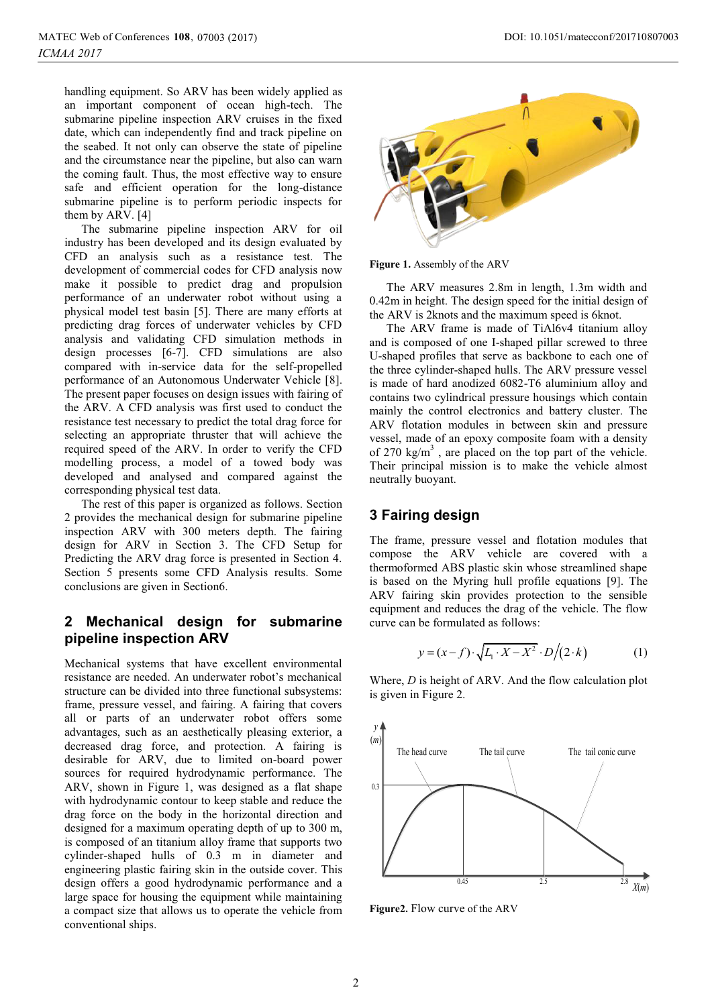handling equipment. So ARV has been widely applied as an important component of ocean high-tech. The submarine pipeline inspection ARV cruises in the fixed date, which can independently find and track pipeline on the seabed. It not only can observe the state of pipeline and the circumstance near the pipeline, but also can warn the coming fault. Thus, the most effective way to ensure safe and efficient operation for the long-distance submarine pipeline is to perform periodic inspects for them by ARV. [4]

The submarine pipeline inspection ARV for oil industry has been developed and its design evaluated by CFD an analysis such as a resistance test. The development of commercial codes for CFD analysis now make it possible to predict drag and propulsion performance of an underwater robot without using a physical model test basin [5]. There are many efforts at predicting drag forces of underwater vehicles by CFD analysis and validating CFD simulation methods in design processes [6-7]. CFD simulations are also compared with in-service data for the self-propelled performance of an Autonomous Underwater Vehicle [8]. The present paper focuses on design issues with fairing of the ARV. A CFD analysis was first used to conduct the resistance test necessary to predict the total drag force for selecting an appropriate thruster that will achieve the required speed of the ARV. In order to verify the CFD modelling process, a model of a towed body was developed and analysed and compared against the corresponding physical test data.

The rest of this paper is organized as follows. Section 2 provides the mechanical design for submarine pipeline inspection ARV with 300 meters depth. The fairing design for ARV in Section 3. The CFD Setup for Predicting the ARV drag force is presented in Section 4. Section 5 presents some CFD Analysis results. Some conclusions are given in Section6.

## **2 Mechanical design for submarine pipeline inspection ARV**

Mechanical systems that have excellent environmental resistance are needed. An underwater robot's mechanical structure can be divided into three functional subsystems: frame, pressure vessel, and fairing. A fairing that covers all or parts of an underwater robot offers some advantages, such as an aesthetically pleasing exterior, a decreased drag force, and protection. A fairing is desirable for ARV, due to limited on-board power sources for required hydrodynamic performance. The ARV, shown in Figure 1, was designed as a flat shape with hydrodynamic contour to keep stable and reduce the drag force on the body in the horizontal direction and designed for a maximum operating depth of up to 300 m, is composed of an titanium alloy frame that supports two cylinder-shaped hulls of 0.3 m in diameter and engineering plastic fairing skin in the outside cover. This design offers a good hydrodynamic performance and a large space for housing the equipment while maintaining a compact size that allows us to operate the vehicle from conventional ships.



**Figure 1.** Assembly of the ARV

The ARV measures 2.8m in length, 1.3m width and 0.42m in height. The design speed for the initial design of the ARV is 2knots and the maximum speed is 6knot.

The ARV frame is made of TiAl6v4 titanium alloy and is composed of one I-shaped pillar screwed to three U-shaped profiles that serve as backbone to each one of the three cylinder-shaped hulls. The ARV pressure vessel is made of hard anodized 6082-T6 aluminium alloy and contains two cylindrical pressure housings which contain mainly the control electronics and battery cluster. The ARV flotation modules in between skin and pressure vessel, made of an epoxy composite foam with a density of 270  $\text{kg/m}^3$ , are placed on the top part of the vehicle. Their principal mission is to make the vehicle almost neutrally buoyant.

## **3 Fairing design**

The frame, pressure vessel and flotation modules that compose the ARV vehicle are covered with a thermoformed ABS plastic skin whose streamlined shape is based on the Myring hull profile equations [9]. The ARV fairing skin provides protection to the sensible equipment and reduces the drag of the vehicle. The flow curve can be formulated as follows:

$$
y = (x - f) \cdot \sqrt{L_1 \cdot X - X^2} \cdot D/(2 \cdot k) \tag{1}
$$

Where, *D* is height of ARV. And the flow calculation plot is given in Figure 2.



**Figure2.** Flow curve of the ARV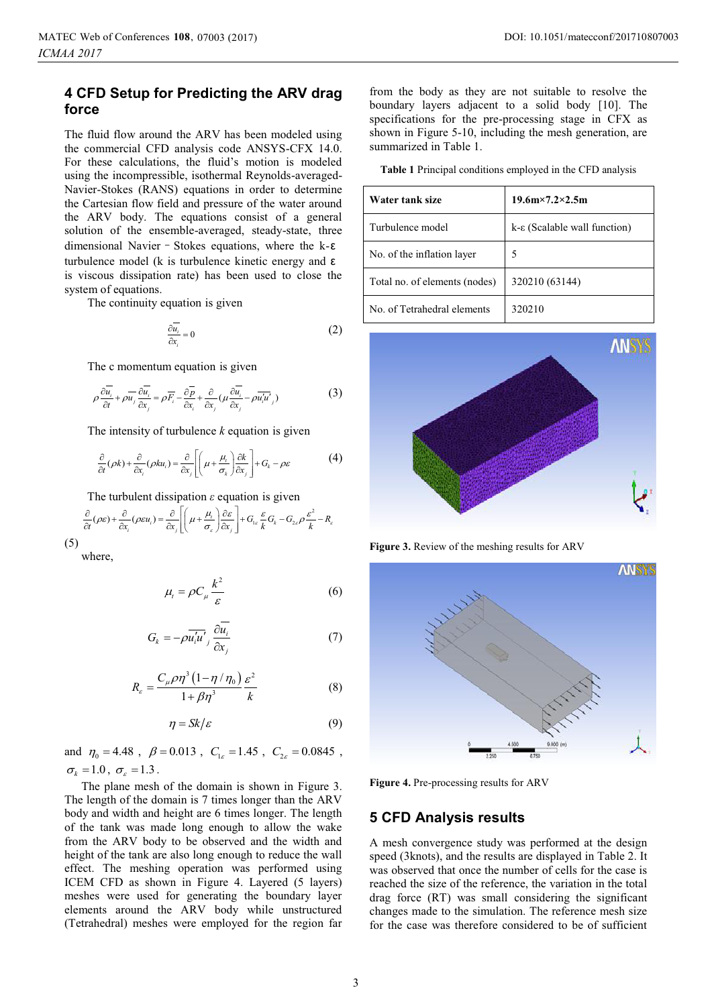## **4 CFD Setup for Predicting the ARV drag force**

The fluid flow around the ARV has been modeled using the commercial CFD analysis code ANSYS-CFX 14.0. For these calculations, the fluid's motion is modeled using the incompressible, isothermal Reynolds-averaged-Navier-Stokes (RANS) equations in order to determine the Cartesian flow field and pressure of the water around the ARV body. The equations consist of a general solution of the ensemble-averaged, steady-state, three dimensional Navier - Stokes equations, where the k- $\varepsilon$ turbulence model (k is turbulence kinetic energy and ε is viscous dissipation rate) has been used to close the system of equations.

The continuity equation is given

$$
\frac{\partial \overline{u_i}}{\partial x_i} = 0 \tag{2}
$$

The c momentum equation is given

$$
\rho \frac{\partial \overline{u_i}}{\partial t} + \rho \overline{u_j} \frac{\partial \overline{u_i}}{\partial x_j} = \rho \overline{F_i} - \frac{\partial \overline{p}}{\partial x_i} + \frac{\partial}{\partial x_j} (\mu \frac{\partial \overline{u_i}}{\partial x_j} - \rho \overline{u_i' u_j})
$$
(3)

The intensity of turbulence *k* equation is given

$$
\frac{\partial}{\partial t}(\rho k) + \frac{\partial}{\partial x_i}(\rho k u_i) = \frac{\partial}{\partial x_j} \left[ \left( \mu + \frac{\mu_i}{\sigma_k} \right) \frac{\partial k}{\partial x_j} \right] + G_k - \rho \varepsilon \tag{4}
$$

The turbulent dissipation *ε* equation is given

$$
\frac{\partial}{\partial t}(\rho \varepsilon) + \frac{\partial}{\partial x_i}(\rho \varepsilon u_i) = \frac{\partial}{\partial x_j} \left[ \left( \mu + \frac{\mu_i}{\sigma_{\varepsilon}} \right) \frac{\partial \varepsilon}{\partial x_j} \right] + G_{1\varepsilon} \frac{\varepsilon}{k} G_k - G_{2\varepsilon} \rho \frac{\varepsilon^2}{k} - R_{\varepsilon}
$$
\n(5)

where,

$$
\mu_t = \rho C_\mu \frac{k^2}{\varepsilon} \tag{6}
$$

$$
G_k = -\rho \overline{u'_i u'}_j \frac{\partial \overline{u_i}}{\partial x_j} \tag{7}
$$

$$
R_{\varepsilon} = \frac{C_{\mu}\rho\eta^{3}(1-\eta/\eta_{0})}{1+\beta\eta^{3}}\frac{\varepsilon^{2}}{k}
$$
 (8)

$$
\eta = Sk/\varepsilon \tag{9}
$$

and  $\eta_0 = 4.48$ ,  $\beta = 0.013$ ,  $C_{1s} = 1.45$ ,  $C_{2s} = 0.0845$ ,  $\sigma_k = 1.0$ ,  $\sigma_s = 1.3$ .

The plane mesh of the domain is shown in Figure 3. The length of the domain is 7 times longer than the ARV body and width and height are 6 times longer. The length of the tank was made long enough to allow the wake from the ARV body to be observed and the width and height of the tank are also long enough to reduce the wall effect. The meshing operation was performed using ICEM CFD as shown in Figure 4. Layered (5 layers) meshes were used for generating the boundary layer elements around the ARV body while unstructured (Tetrahedral) meshes were employed for the region far

from the body as they are not suitable to resolve the boundary layers adjacent to a solid body [10]. The specifications for the pre-processing stage in CFX as shown in Figure 5-10, including the mesh generation, are summarized in Table 1.

**Table 1** Principal conditions employed in the CFD analysis

| Water tank size               | $19.6m \times 7.2 \times 2.5m$        |
|-------------------------------|---------------------------------------|
| Turbulence model              | $k-\epsilon$ (Scalable wall function) |
| No. of the inflation layer    | 5                                     |
| Total no. of elements (nodes) | 320210 (63144)                        |
| No. of Tetrahedral elements   | 320210                                |



**Figure 3.** Review of the meshing results for ARV



**Figure 4.** Pre-processing results for ARV

#### **5 CFD Analysis results**

A mesh convergence study was performed at the design speed (3knots), and the results are displayed in Table 2. It was observed that once the number of cells for the case is reached the size of the reference, the variation in the total drag force (RT) was small considering the significant changes made to the simulation. The reference mesh size for the case was therefore considered to be of sufficient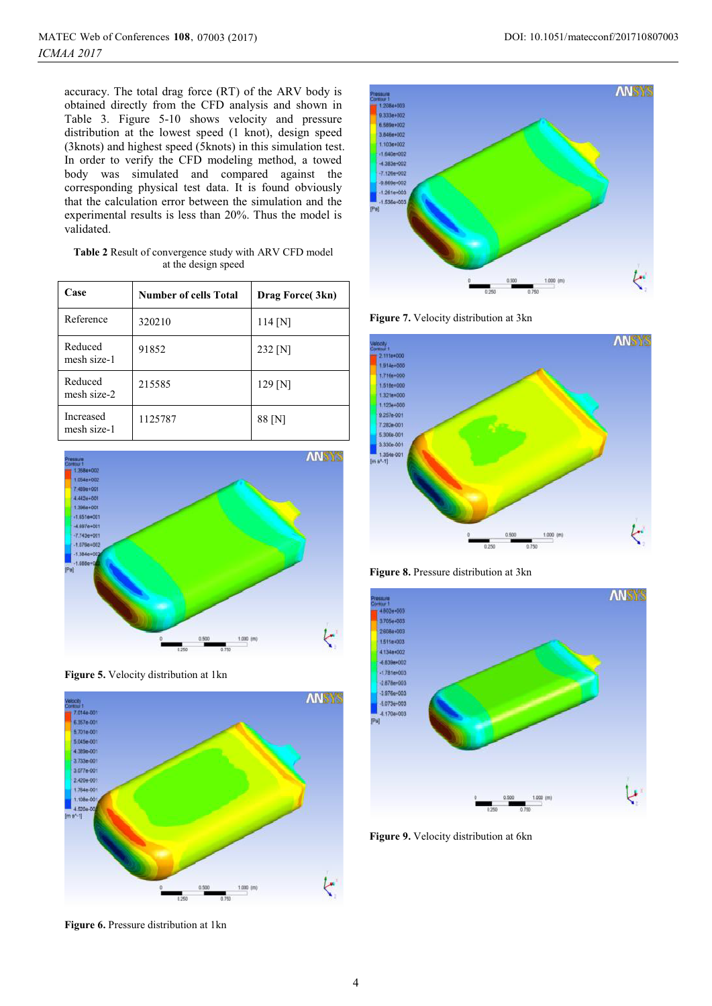accuracy. The total drag force (RT) of the ARV body is obtained directly from the CFD analysis and shown in Table 3. Figure 5-10 shows velocity and pressure distribution at the lowest speed (1 knot), design speed (3knots) and highest speed (5knots) in this simulation test. In order to verify the CFD modeling method, a towed body was simulated and compared against the corresponding physical test data. It is found obviously that the calculation error between the simulation and the experimental results is less than 20%. Thus the model is validated.

| <b>Table 2</b> Result of convergence study with ARV CFD model |
|---------------------------------------------------------------|
| at the design speed                                           |

| Case                     | <b>Number of cells Total</b> | Drag Force (3kn) |
|--------------------------|------------------------------|------------------|
| Reference                | 320210                       | $114$ [N]        |
| Reduced<br>mesh size-1   | 91852                        | 232 [N]          |
| Reduced<br>mesh size-2   | 215585                       | $129$ [N]        |
| Increased<br>mesh size-1 | 1125787                      | 88 [N]           |







**Figure 6.** Pressure distribution at 1kn



**Figure 7.** Velocity distribution at 3kn



**Figure 8.** Pressure distribution at 3kn



**Figure 9.** Velocity distribution at 6kn